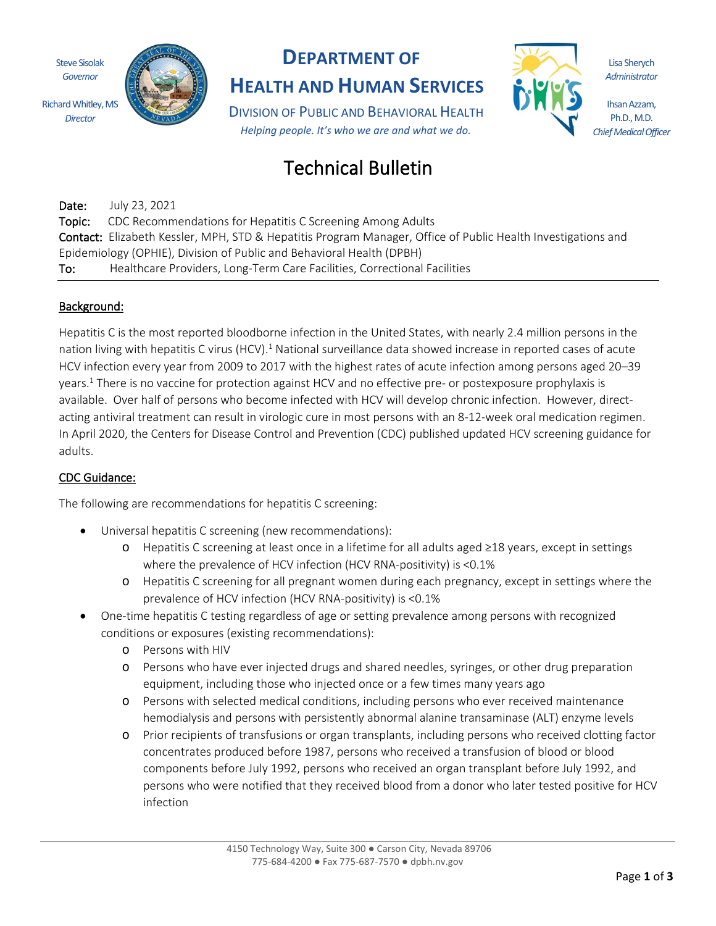Steve Sisolak *Governor* Richard Whitley, MS

*Director*



## **DEPARTMENT OF**

**HEALTH AND HUMAN SERVICES**

DIVISION OF PUBLIC AND BEHAVIORAL HEALTH *Helping people. It's who we are and what we do.*

# Technical Bulletin

Date: July 23, 2021 Topic: CDC Recommendations for Hepatitis C Screening Among Adults Contact: Elizabeth Kessler, MPH, STD & Hepatitis Program Manager, Office of Public Health Investigations and Epidemiology (OPHIE), Division of Public and Behavioral Health (DPBH) To: Healthcare Providers, Long-Term Care Facilities, Correctional Facilities

### Background:

Hepatitis C is the most reported bloodborne infection in the United States, with nearly 2.4 million persons in the nation living with hepatitis C virus (HCV).<sup>1</sup> National surveillance data showed increase in reported cases of acute HCV infection every year from 2009 to 2017 with the highest rates of acute infection among persons aged 20–39 years.<sup>1</sup> There is no vaccine for protection against HCV and no effective pre- or postexposure prophylaxis is available. Over half of persons who become infected with HCV will develop chronic infection. However, directacting antiviral treatment can result in virologic cure in most persons with an 8-12-week oral medication regimen. In April 2020, the Centers for Disease Control and Prevention (CDC) published updated HCV screening guidance for adults.

### CDC Guidance:

The following are recommendations for hepatitis C screening:

- Universal hepatitis C screening (new recommendations):
	- o Hepatitis C screening at least once in a lifetime for all adults aged ≥18 years, except in settings where the prevalence of HCV infection (HCV RNA-positivity) is <0.1%
	- o Hepatitis C screening for all pregnant women during each pregnancy, except in settings where the prevalence of HCV infection (HCV RNA-positivity) is <0.1%
- One-time hepatitis C testing regardless of age or setting prevalence among persons with recognized conditions or exposures (existing recommendations):
	- o Persons with HIV
	- o Persons who have ever injected drugs and shared needles, syringes, or other drug preparation equipment, including those who injected once or a few times many years ago
	- o Persons with selected medical conditions, including persons who ever received maintenance hemodialysis and persons with persistently abnormal alanine transaminase (ALT) enzyme levels
	- o Prior recipients of transfusions or organ transplants, including persons who received clotting factor concentrates produced before 1987, persons who received a transfusion of blood or blood components before July 1992, persons who received an organ transplant before July 1992, and persons who were notified that they received blood from a donor who later tested positive for HCV infection

Lisa Sherych *Administrator*

Ihsan Azzam, Ph.D., M.D. *Chief Medical Officer*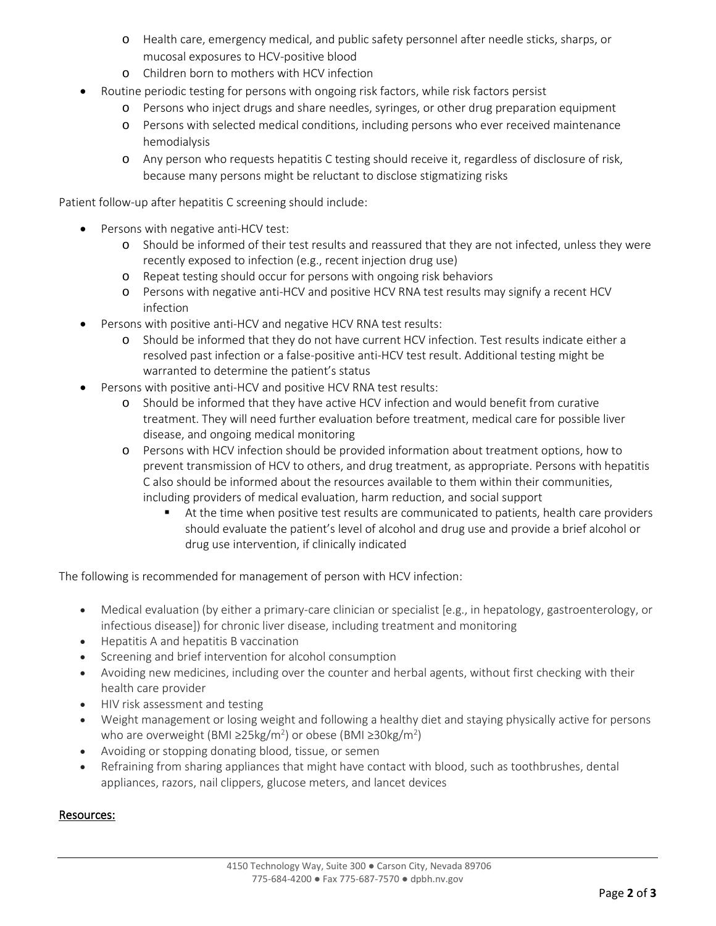- o Health care, emergency medical, and public safety personnel after needle sticks, sharps, or mucosal exposures to HCV-positive blood
- o Children born to mothers with HCV infection
- Routine periodic testing for persons with ongoing risk factors, while risk factors persist
	- o Persons who inject drugs and share needles, syringes, or other drug preparation equipment
	- o Persons with selected medical conditions, including persons who ever received maintenance hemodialysis
	- o Any person who requests hepatitis C testing should receive it, regardless of disclosure of risk, because many persons might be reluctant to disclose stigmatizing risks

Patient follow-up after hepatitis C screening should include:

- Persons with negative anti-HCV test:
	- o Should be informed of their test results and reassured that they are not infected, unless they were recently exposed to infection (e.g., recent injection drug use)
	- o Repeat testing should occur for persons with ongoing risk behaviors
	- o Persons with negative anti-HCV and positive HCV RNA test results may signify a recent HCV infection
- Persons with positive anti-HCV and negative HCV RNA test results:
	- o Should be informed that they do not have current HCV infection. Test results indicate either a resolved past infection or a false-positive anti-HCV test result. Additional testing might be warranted to determine the patient's status
- Persons with positive anti-HCV and positive HCV RNA test results:
	- o Should be informed that they have active HCV infection and would benefit from curative treatment. They will need further evaluation before treatment, medical care for possible liver disease, and ongoing medical monitoring
	- o Persons with HCV infection should be provided information about treatment options, how to prevent transmission of HCV to others, and drug treatment, as appropriate. Persons with hepatitis C also should be informed about the resources available to them within their communities, including providers of medical evaluation, harm reduction, and social support
		- At the time when positive test results are communicated to patients, health care providers should evaluate the patient's level of alcohol and drug use and provide a brief alcohol or drug use intervention, if clinically indicated

The following is recommended for management of person with HCV infection:

- Medical evaluation (by either a primary-care clinician or specialist [e.g., in hepatology, gastroenterology, or infectious disease]) for chronic liver disease, including treatment and monitoring
- Hepatitis A and hepatitis B vaccination
- Screening and brief intervention for alcohol consumption
- Avoiding new medicines, including over the counter and herbal agents, without first checking with their health care provider
- HIV risk assessment and testing
- Weight management or losing weight and following a healthy diet and staying physically active for persons who are overweight (BMI ≥25kg/m<sup>2</sup>) or obese (BMI ≥30kg/m<sup>2</sup>)
- Avoiding or stopping donating blood, tissue, or semen
- Refraining from sharing appliances that might have contact with blood, such as toothbrushes, dental appliances, razors, nail clippers, glucose meters, and lancet devices

#### Resources: